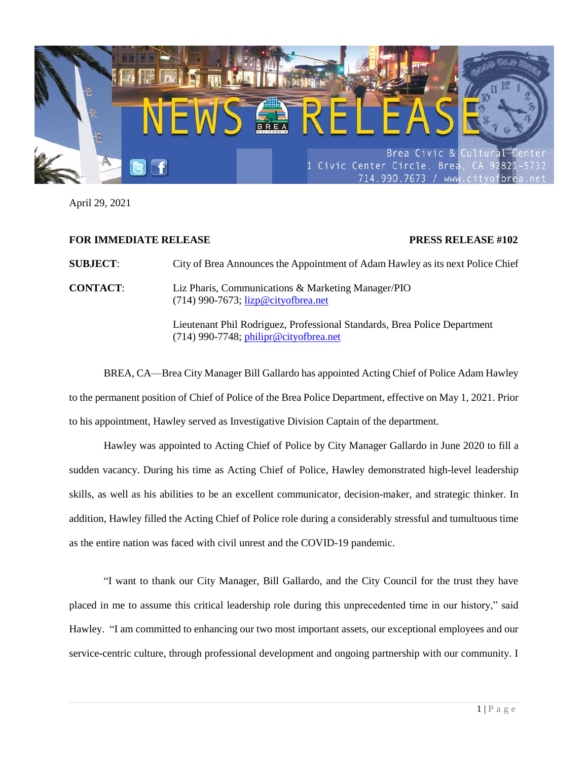

April 29, 2021

## **FOR IMMEDIATE RELEASE PRESS RELEASE #102**

**SUBJECT**: City of Brea Announces the Appointment of Adam Hawley as its next Police Chief

**CONTACT**: Liz Pharis, Communications & Marketing Manager/PIO (714) 990-7673; [lizp@cityofbrea.net](mailto:lizp@cityofbrea.net)

> Lieutenant Phil Rodriguez, Professional Standards, Brea Police Department (714) 990-7748; [philipr@cityofbrea.net](mailto:philipr@cityofbrea.net)

BREA, CA—Brea City Manager Bill Gallardo has appointed Acting Chief of Police Adam Hawley to the permanent position of Chief of Police of the Brea Police Department, effective on May 1, 2021. Prior to his appointment, Hawley served as Investigative Division Captain of the department.

Hawley was appointed to Acting Chief of Police by City Manager Gallardo in June 2020 to fill a sudden vacancy. During his time as Acting Chief of Police, Hawley demonstrated high-level leadership skills, as well as his abilities to be an excellent communicator, decision-maker, and strategic thinker. In addition, Hawley filled the Acting Chief of Police role during a considerably stressful and tumultuous time as the entire nation was faced with civil unrest and the COVID-19 pandemic.

"I want to thank our City Manager, Bill Gallardo, and the City Council for the trust they have placed in me to assume this critical leadership role during this unprecedented time in our history," said Hawley. "I am committed to enhancing our two most important assets, our exceptional employees and our service-centric culture, through professional development and ongoing partnership with our community. I